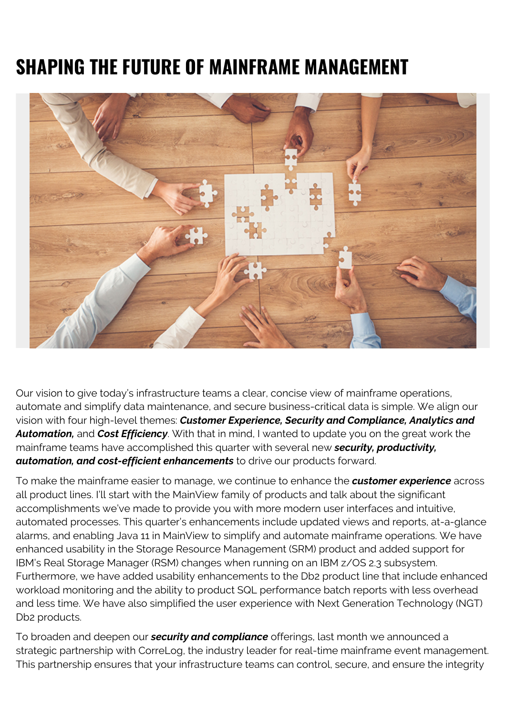# **SHAPING THE FUTURE OF MAINFRAME MANAGEMENT**



Our vision to give today's infrastructure teams a clear, concise view of mainframe operations, automate and simplify data maintenance, and secure business-critical data is simple. We align our vision with four high-level themes: *Customer Experience, Security and Compliance, Analytics and Automation,* and *Cost Efficiency*. With that in mind, I wanted to update you on the great work the mainframe teams have accomplished this quarter with several new *security, productivity, automation, and cost-efficient enhancements* to drive our products forward.

To make the mainframe easier to manage, we continue to enhance the *customer experience* across all product lines. I'll start with the MainView family of products and talk about the significant accomplishments we've made to provide you with more modern user interfaces and intuitive, automated processes. This quarter's enhancements include updated views and reports, at-a-glance alarms, and enabling Java 11 in MainView to simplify and automate mainframe operations. We have enhanced usability in the Storage Resource Management (SRM) product and added support for IBM's Real Storage Manager (RSM) changes when running on an IBM z/OS 2.3 subsystem. Furthermore, we have added usability enhancements to the Db2 product line that include enhanced workload monitoring and the ability to product SQL performance batch reports with less overhead and less time. We have also simplified the user experience with Next Generation Technology (NGT) Db2 products.

To broaden and deepen our *security and compliance* offerings, last month we announced a strategic partnership with CorreLog, the industry leader for real-time mainframe event management. This partnership ensures that your infrastructure teams can control, secure, and ensure the integrity